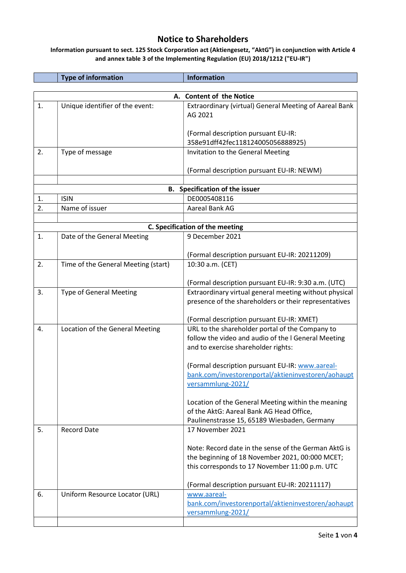#### Information pursuant to sect. 125 Stock Corporation act (Aktiengesetz, "AktG") in conjunction with Article 4 and annex table 3 of the Implementing Regulation (EU) 2018/1212 ("EU-IR")

|    | <b>Type of information</b>          | <b>Information</b>                                     |  |  |  |
|----|-------------------------------------|--------------------------------------------------------|--|--|--|
|    |                                     |                                                        |  |  |  |
|    |                                     | A. Content of the Notice                               |  |  |  |
| 1. | Unique identifier of the event:     | Extraordinary (virtual) General Meeting of Aareal Bank |  |  |  |
|    |                                     | AG 2021                                                |  |  |  |
|    |                                     |                                                        |  |  |  |
|    |                                     | (Formal description pursuant EU-IR:                    |  |  |  |
|    |                                     | 358e91dff42fec118124005056888925)                      |  |  |  |
| 2. | Type of message                     | Invitation to the General Meeting                      |  |  |  |
|    |                                     |                                                        |  |  |  |
|    |                                     | (Formal description pursuant EU-IR: NEWM)              |  |  |  |
|    |                                     |                                                        |  |  |  |
|    |                                     | <b>B.</b> Specification of the issuer                  |  |  |  |
| 1. | <b>ISIN</b>                         | DE0005408116                                           |  |  |  |
| 2. | Name of issuer                      | Aareal Bank AG                                         |  |  |  |
|    |                                     |                                                        |  |  |  |
|    |                                     | C. Specification of the meeting                        |  |  |  |
| 1. | Date of the General Meeting         | 9 December 2021                                        |  |  |  |
|    |                                     | (Formal description pursuant EU-IR: 20211209)          |  |  |  |
| 2. | Time of the General Meeting (start) | 10:30 a.m. (CET)                                       |  |  |  |
|    |                                     |                                                        |  |  |  |
|    |                                     | (Formal description pursuant EU-IR: 9:30 a.m. (UTC)    |  |  |  |
| 3. | <b>Type of General Meeting</b>      | Extraordinary virtual general meeting without physical |  |  |  |
|    |                                     | presence of the shareholders or their representatives  |  |  |  |
|    |                                     |                                                        |  |  |  |
|    |                                     | (Formal description pursuant EU-IR: XMET)              |  |  |  |
| 4. | Location of the General Meeting     | URL to the shareholder portal of the Company to        |  |  |  |
|    |                                     | follow the video and audio of the I General Meeting    |  |  |  |
|    |                                     | and to exercise shareholder rights:                    |  |  |  |
|    |                                     |                                                        |  |  |  |
|    |                                     | (Formal description pursuant EU-IR: www.aareal-        |  |  |  |
|    |                                     | bank.com/investorenportal/aktieninvestoren/aohaupt     |  |  |  |
|    |                                     | versammlung-2021/                                      |  |  |  |
|    |                                     |                                                        |  |  |  |
|    |                                     | Location of the General Meeting within the meaning     |  |  |  |
|    |                                     | of the AktG: Aareal Bank AG Head Office,               |  |  |  |
|    |                                     | Paulinenstrasse 15, 65189 Wiesbaden, Germany           |  |  |  |
| 5. | <b>Record Date</b>                  | 17 November 2021                                       |  |  |  |
|    |                                     |                                                        |  |  |  |
|    |                                     | Note: Record date in the sense of the German AktG is   |  |  |  |
|    |                                     | the beginning of 18 November 2021, 00:000 MCET;        |  |  |  |
|    |                                     | this corresponds to 17 November 11:00 p.m. UTC         |  |  |  |
|    |                                     | (Formal description pursuant EU-IR: 20211117)          |  |  |  |
| 6. | Uniform Resource Locator (URL)      | www.aareal-                                            |  |  |  |
|    |                                     | bank.com/investorenportal/aktieninvestoren/aohaupt     |  |  |  |
|    |                                     | versammlung-2021/                                      |  |  |  |
|    |                                     |                                                        |  |  |  |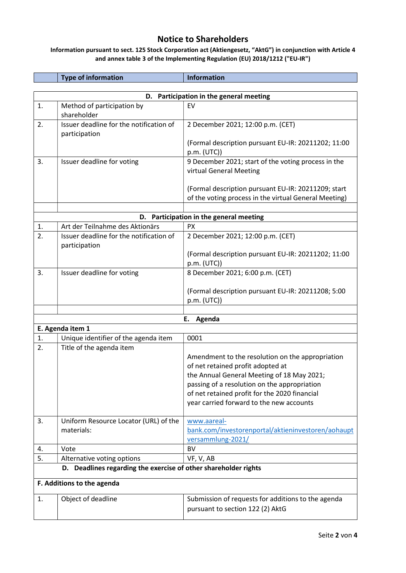Information pursuant to sect. 125 Stock Corporation act (Aktiengesetz, "AktG") in conjunction with Article 4 and annex table 3 of the Implementing Regulation (EU) 2018/1212 ("EU-IR")

|                                                                 | <b>Type of information</b>                               | <b>Information</b>                                                                                           |  |  |
|-----------------------------------------------------------------|----------------------------------------------------------|--------------------------------------------------------------------------------------------------------------|--|--|
|                                                                 |                                                          |                                                                                                              |  |  |
| Participation in the general meeting<br>D.                      |                                                          |                                                                                                              |  |  |
| 1.                                                              | Method of participation by<br>shareholder                | EV                                                                                                           |  |  |
| 2.                                                              | Issuer deadline for the notification of<br>participation | 2 December 2021; 12:00 p.m. (CET)                                                                            |  |  |
|                                                                 |                                                          | (Formal description pursuant EU-IR: 20211202; 11:00<br>p.m. (UTC))                                           |  |  |
| 3.                                                              | Issuer deadline for voting                               | 9 December 2021; start of the voting process in the<br>virtual General Meeting                               |  |  |
|                                                                 |                                                          | (Formal description pursuant EU-IR: 20211209; start<br>of the voting process in the virtual General Meeting) |  |  |
|                                                                 |                                                          |                                                                                                              |  |  |
|                                                                 |                                                          | D. Participation in the general meeting                                                                      |  |  |
| 1.                                                              | Art der Teilnahme des Aktionärs                          | <b>PX</b>                                                                                                    |  |  |
| 2.                                                              | Issuer deadline for the notification of<br>participation | 2 December 2021; 12:00 p.m. (CET)                                                                            |  |  |
|                                                                 |                                                          | (Formal description pursuant EU-IR: 20211202; 11:00                                                          |  |  |
|                                                                 |                                                          | p.m. (UTC))                                                                                                  |  |  |
| 3.                                                              | Issuer deadline for voting                               | 8 December 2021; 6:00 p.m. (CET)                                                                             |  |  |
|                                                                 |                                                          | (Formal description pursuant EU-IR: 20211208; 5:00<br>p.m. (UTC))                                            |  |  |
|                                                                 |                                                          |                                                                                                              |  |  |
|                                                                 |                                                          | E. Agenda                                                                                                    |  |  |
|                                                                 | E. Agenda item 1                                         |                                                                                                              |  |  |
| 1.                                                              | Unique identifier of the agenda item                     | 0001                                                                                                         |  |  |
| 2.                                                              | Title of the agenda item                                 |                                                                                                              |  |  |
|                                                                 |                                                          | Amendment to the resolution on the appropriation<br>of net retained profit adopted at                        |  |  |
|                                                                 |                                                          | the Annual General Meeting of 18 May 2021;                                                                   |  |  |
|                                                                 |                                                          | passing of a resolution on the appropriation                                                                 |  |  |
|                                                                 |                                                          | of net retained profit for the 2020 financial                                                                |  |  |
|                                                                 |                                                          | year carried forward to the new accounts                                                                     |  |  |
| 3.                                                              | Uniform Resource Locator (URL) of the                    | www.aareal-                                                                                                  |  |  |
|                                                                 | materials:                                               | bank.com/investorenportal/aktieninvestoren/aohaupt                                                           |  |  |
|                                                                 |                                                          | versammlung-2021/                                                                                            |  |  |
| 4.                                                              | Vote                                                     | <b>BV</b>                                                                                                    |  |  |
| 5.                                                              | Alternative voting options                               | VF, V, AB                                                                                                    |  |  |
| D. Deadlines regarding the exercise of other shareholder rights |                                                          |                                                                                                              |  |  |
| F. Additions to the agenda                                      |                                                          |                                                                                                              |  |  |
| 1.                                                              | Object of deadline                                       | Submission of requests for additions to the agenda                                                           |  |  |
|                                                                 |                                                          | pursuant to section 122 (2) AktG                                                                             |  |  |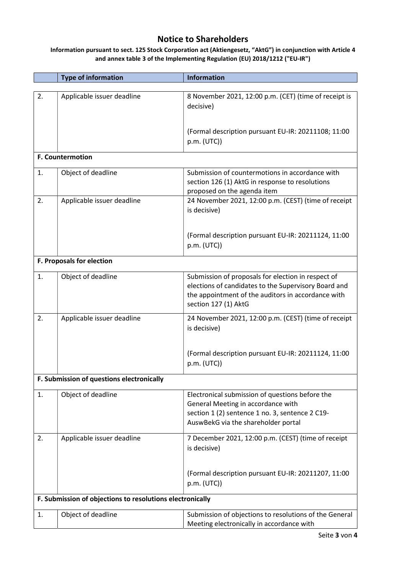#### Information pursuant to sect. 125 Stock Corporation act (Aktiengesetz, "AktG") in conjunction with Article 4 and annex table 3 of the Implementing Regulation (EU) 2018/1212 ("EU-IR")

|                                                           | <b>Type of information</b> | <b>Information</b>                                                                                                                                                                       |  |  |
|-----------------------------------------------------------|----------------------------|------------------------------------------------------------------------------------------------------------------------------------------------------------------------------------------|--|--|
|                                                           |                            |                                                                                                                                                                                          |  |  |
| 2.                                                        | Applicable issuer deadline | 8 November 2021, 12:00 p.m. (CET) (time of receipt is<br>decisive)                                                                                                                       |  |  |
|                                                           |                            | (Formal description pursuant EU-IR: 20211108; 11:00<br>p.m. (UTC))                                                                                                                       |  |  |
| F. Countermotion                                          |                            |                                                                                                                                                                                          |  |  |
| $\mathbf{1}$ .                                            | Object of deadline         | Submission of countermotions in accordance with<br>section 126 (1) AktG in response to resolutions<br>proposed on the agenda item                                                        |  |  |
| 2.                                                        | Applicable issuer deadline | 24 November 2021, 12:00 p.m. (CEST) (time of receipt<br>is decisive)                                                                                                                     |  |  |
|                                                           |                            | (Formal description pursuant EU-IR: 20211124, 11:00<br>p.m. (UTC))                                                                                                                       |  |  |
| <b>F. Proposals for election</b>                          |                            |                                                                                                                                                                                          |  |  |
| 1.                                                        | Object of deadline         | Submission of proposals for election in respect of<br>elections of candidates to the Supervisory Board and<br>the appointment of the auditors in accordance with<br>section 127 (1) AktG |  |  |
| 2.                                                        | Applicable issuer deadline | 24 November 2021, 12:00 p.m. (CEST) (time of receipt<br>is decisive)                                                                                                                     |  |  |
|                                                           |                            | (Formal description pursuant EU-IR: 20211124, 11:00<br>p.m. (UTC)                                                                                                                        |  |  |
| F. Submission of questions electronically                 |                            |                                                                                                                                                                                          |  |  |
| 1.                                                        | Object of deadline         | Electronical submission of questions before the<br>General Meeting in accordance with<br>section 1 (2) sentence 1 no. 3, sentence 2 C19-<br>AuswBekG via the shareholder portal          |  |  |
| 2.                                                        | Applicable issuer deadline | 7 December 2021, 12:00 p.m. (CEST) (time of receipt<br>is decisive)                                                                                                                      |  |  |
|                                                           |                            | (Formal description pursuant EU-IR: 20211207, 11:00<br>p.m. (UTC))                                                                                                                       |  |  |
| F. Submission of objections to resolutions electronically |                            |                                                                                                                                                                                          |  |  |
| 1.                                                        | Object of deadline         | Submission of objections to resolutions of the General<br>Meeting electronically in accordance with                                                                                      |  |  |